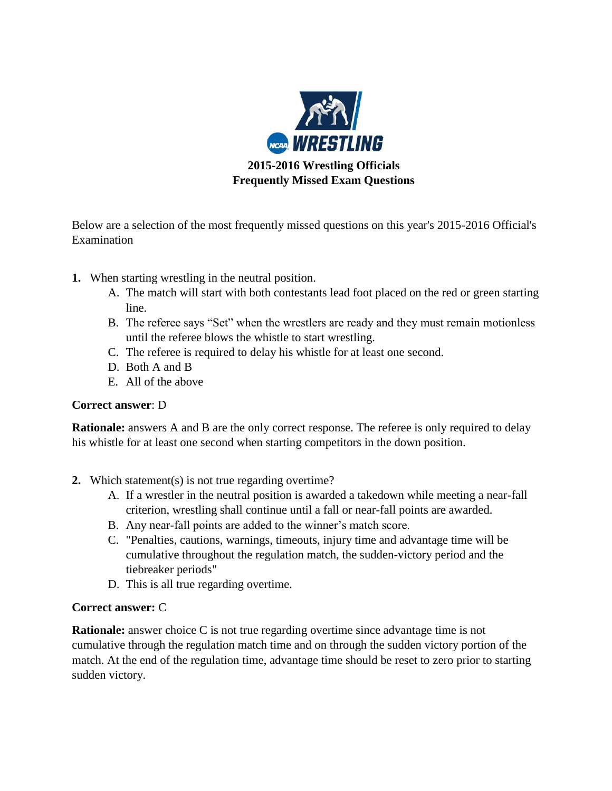

**2015-2016 Wrestling Officials Frequently Missed Exam Questions**

Below are a selection of the most frequently missed questions on this year's 2015-2016 Official's Examination

- **1.** When starting wrestling in the neutral position.
	- A. The match will start with both contestants lead foot placed on the red or green starting line.
	- B. The referee says "Set" when the wrestlers are ready and they must remain motionless until the referee blows the whistle to start wrestling.
	- C. The referee is required to delay his whistle for at least one second.
	- D. Both A and B
	- E. All of the above

# **Correct answer**: D

**Rationale:** answers A and B are the only correct response. The referee is only required to delay his whistle for at least one second when starting competitors in the down position.

- **2.** Which statement(s) is not true regarding overtime?
	- A. If a wrestler in the neutral position is awarded a takedown while meeting a near-fall criterion, wrestling shall continue until a fall or near-fall points are awarded.
	- B. Any near-fall points are added to the winner's match score.
	- C. "Penalties, cautions, warnings, timeouts, injury time and advantage time will be cumulative throughout the regulation match, the sudden-victory period and the tiebreaker periods"
	- D. This is all true regarding overtime.

# **Correct answer:** C

**Rationale:** answer choice C is not true regarding overtime since advantage time is not cumulative through the regulation match time and on through the sudden victory portion of the match. At the end of the regulation time, advantage time should be reset to zero prior to starting sudden victory.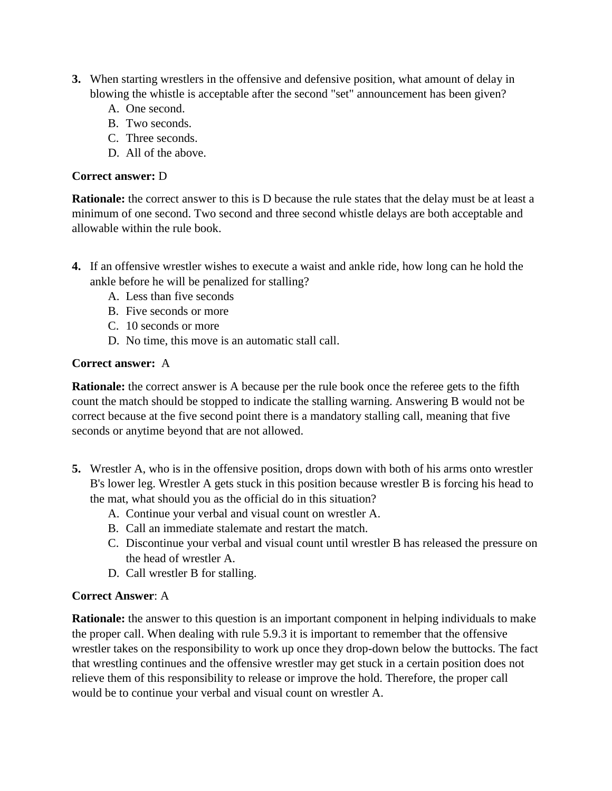- **3.** When starting wrestlers in the offensive and defensive position, what amount of delay in blowing the whistle is acceptable after the second "set" announcement has been given?
	- A. One second.
	- B. Two seconds.
	- C. Three seconds.
	- D. All of the above.

### **Correct answer:** D

**Rationale:** the correct answer to this is D because the rule states that the delay must be at least a minimum of one second. Two second and three second whistle delays are both acceptable and allowable within the rule book.

- **4.** If an offensive wrestler wishes to execute a waist and ankle ride, how long can he hold the ankle before he will be penalized for stalling?
	- A. Less than five seconds
	- B. Five seconds or more
	- C. 10 seconds or more
	- D. No time, this move is an automatic stall call.

### **Correct answer:** A

**Rationale:** the correct answer is A because per the rule book once the referee gets to the fifth count the match should be stopped to indicate the stalling warning. Answering B would not be correct because at the five second point there is a mandatory stalling call, meaning that five seconds or anytime beyond that are not allowed.

- **5.** Wrestler A, who is in the offensive position, drops down with both of his arms onto wrestler B's lower leg. Wrestler A gets stuck in this position because wrestler B is forcing his head to the mat, what should you as the official do in this situation?
	- A. Continue your verbal and visual count on wrestler A.
	- B. Call an immediate stalemate and restart the match.
	- C. Discontinue your verbal and visual count until wrestler B has released the pressure on the head of wrestler A.
	- D. Call wrestler B for stalling.

### **Correct Answer**: A

**Rationale:** the answer to this question is an important component in helping individuals to make the proper call. When dealing with rule 5.9.3 it is important to remember that the offensive wrestler takes on the responsibility to work up once they drop-down below the buttocks. The fact that wrestling continues and the offensive wrestler may get stuck in a certain position does not relieve them of this responsibility to release or improve the hold. Therefore, the proper call would be to continue your verbal and visual count on wrestler A.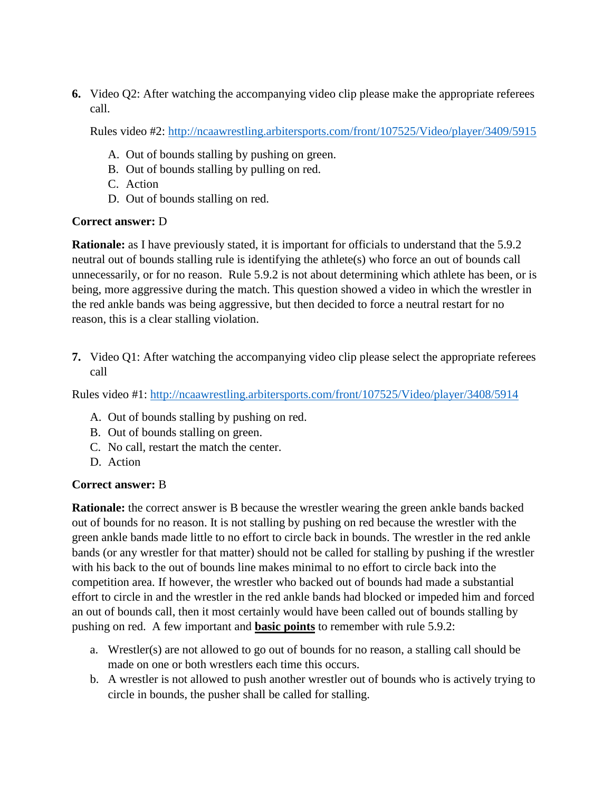**6.** Video Q2: After watching the accompanying video clip please make the appropriate referees call.

Rules video #2:<http://ncaawrestling.arbitersports.com/front/107525/Video/player/3409/5915>

- A. Out of bounds stalling by pushing on green.
- B. Out of bounds stalling by pulling on red.
- C. Action
- D. Out of bounds stalling on red.

# **Correct answer:** D

**Rationale:** as I have previously stated, it is important for officials to understand that the 5.9.2 neutral out of bounds stalling rule is identifying the athlete(s) who force an out of bounds call unnecessarily, or for no reason. Rule 5.9.2 is not about determining which athlete has been, or is being, more aggressive during the match. This question showed a video in which the wrestler in the red ankle bands was being aggressive, but then decided to force a neutral restart for no reason, this is a clear stalling violation.

**7.** Video Q1: After watching the accompanying video clip please select the appropriate referees call

Rules video #1:<http://ncaawrestling.arbitersports.com/front/107525/Video/player/3408/5914>

- A. Out of bounds stalling by pushing on red.
- B. Out of bounds stalling on green.
- C. No call, restart the match the center.
- D. Action

# **Correct answer:** B

**Rationale:** the correct answer is B because the wrestler wearing the green ankle bands backed out of bounds for no reason. It is not stalling by pushing on red because the wrestler with the green ankle bands made little to no effort to circle back in bounds. The wrestler in the red ankle bands (or any wrestler for that matter) should not be called for stalling by pushing if the wrestler with his back to the out of bounds line makes minimal to no effort to circle back into the competition area. If however, the wrestler who backed out of bounds had made a substantial effort to circle in and the wrestler in the red ankle bands had blocked or impeded him and forced an out of bounds call, then it most certainly would have been called out of bounds stalling by pushing on red. A few important and **basic points** to remember with rule 5.9.2:

- a. Wrestler(s) are not allowed to go out of bounds for no reason, a stalling call should be made on one or both wrestlers each time this occurs.
- b. A wrestler is not allowed to push another wrestler out of bounds who is actively trying to circle in bounds, the pusher shall be called for stalling.